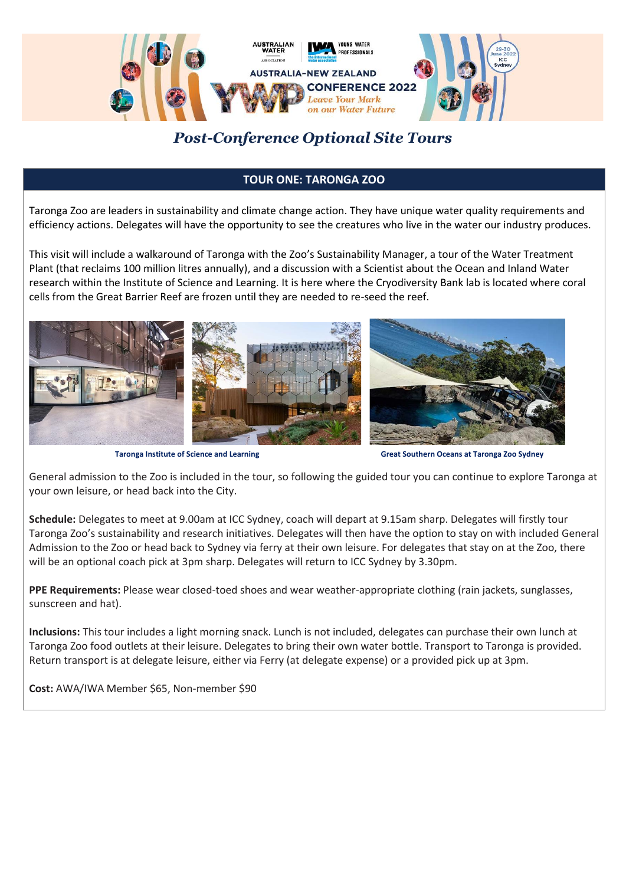

## *Post-Conference Optional Site Tours*

## **TOUR ONE: TARONGA ZOO**

Taronga Zoo are leaders in sustainability and climate change action. They have unique water quality requirements and efficiency actions. Delegates will have the opportunity to see the creatures who live in the water our industry produces.

This visit will include a walkaround of Taronga with the Zoo's Sustainability Manager, a tour of the Water Treatment Plant (that reclaims 100 million litres annually), and a discussion with a Scientist about the Ocean and Inland Water research within the Institute of Science and Learning. It is here where the Cryodiversity Bank lab is located where coral cells from the Great Barrier Reef are frozen until they are needed to re-seed the reef.



**Taronga Institute of Science and Learning Great Southern Oceans at Taronga Zoo Sydney** 

General admission to the Zoo is included in the tour, so following the guided tour you can continue to explore Taronga at your own leisure, or head back into the City.

**Schedule:** Delegates to meet at 9.00am at ICC Sydney, coach will depart at 9.15am sharp. Delegates will firstly tour Taronga Zoo's sustainability and research initiatives. Delegates will then have the option to stay on with included General Admission to the Zoo or head back to Sydney via ferry at their own leisure. For delegates that stay on at the Zoo, there will be an optional coach pick at 3pm sharp. Delegates will return to ICC Sydney by 3.30pm.

**PPE Requirements:** Please wear closed-toed shoes and wear weather-appropriate clothing (rain jackets, sunglasses, sunscreen and hat).

**Inclusions:** This tour includes a light morning snack. Lunch is not included, delegates can purchase their own lunch at Taronga Zoo food outlets at their leisure. Delegates to bring their own water bottle. Transport to Taronga is provided. Return transport is at delegate leisure, either via Ferry (at delegate expense) or a provided pick up at 3pm.

**Cost:** AWA/IWA Member \$65, Non-member \$90